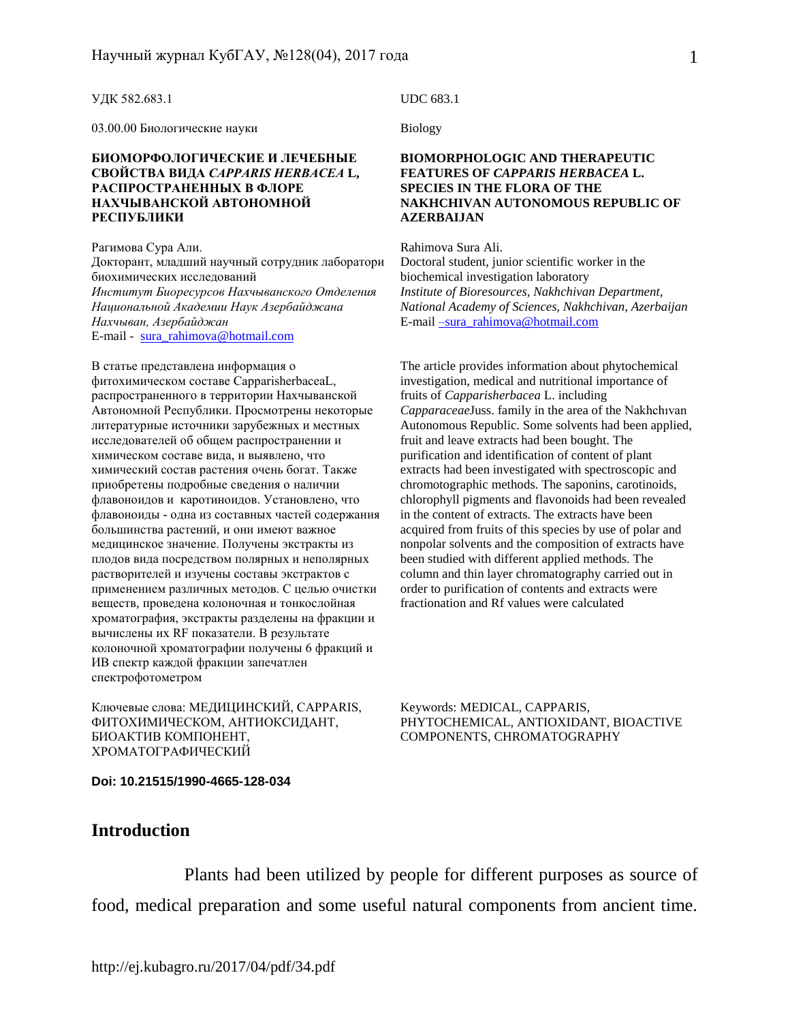#### УДК 582.683.1

03.00.00 Биологические науки

#### **БИОМОРФОЛОГИЧЕСКИЕ И ЛЕЧЕБНЫЕ СВОЙСТВА ВИДА** *СAPPARIS HERBACEA* **L, РАСПРОСТРАНЕННЫХ В ФЛОРЕ НАХЧЫВАНСКОЙ АВТОНОМНОЙ РЕСПУБЛИКИ**

Рагимова Сура Али. Докторант, младший научный сотрудник лаборатори биохимических исследований *Институт Биоресурсов Нахчыванского Отделения Национальной Академии Наук Азербайджана Нахчыван, Азербайджан* E-mail - [sura\\_rahimova@hotmail.com](mailto:sura_rahimova@hotmail.com)

В статье представлена информация о фитохимическом составе CapparisherbaceaL, распространенного в территории Нахчыванской Автономной Республики. Просмотрены некоторые литературные источники зарубежных и местных исследователей об общем распространении и химическом составе вида, и выявлено, что химический состав растения очень богат. Также приобретены подробные сведения о наличии флавоноидов и каротиноидов. Установлено, что флавоноиды - одна из составных частей содержания большинства растений, и они имеют важное медицинское значение. Получены экстракты из плодов вида посредством полярных и неполярных растворителей и изучены составы экстрактов с применением различных методов. С целью очистки веществ, проведена колоночная и тонкослойная хроматография, экстракты разделены на фракции и вычислены их RF показатели. В результате колоночной хроматографии получены 6 фракций и ИВ спектр каждой фракции запечатлен спектрофотометром

Ключевые слова: МЕДИЦИНСКИЙ, CAPPARIS, ФИТОХИМИЧЕСКОМ, АНТИОКСИДАНТ, БИОАКТИВ КОМПОНЕНТ, ХРОМАТОГРАФИЧЕСКИЙ

**Doi: 10.21515/1990-4665-128-034**

### UDC 683.1

Biology

### **BIOMORPHOLOGIC AND THERAPEUTIC FEATURES OF** *CAPPARIS HERBACEA* **L. SPECIES IN THE FLORA OF THE NAKHCHIVAN AUTONOMOUS REPUBLIC OF AZERBAIJAN**

Rahimova Sura Ali. Doctoral student, junior scientific worker in the biochemical investigation laboratory *Institute of Bioresources, Nakhchivan Department, National Academy of Sciences, Nakhchivan, Azerbaijan* E-mail [–sura\\_rahimova@hotmail.com](mailto:–sura_rahimova@hotmail.com)

The article provides information about phytochemical investigation, medical and nutritional importance of fruits of *Capparisherbacea* L. including *Capparaceae*Juss. family in the area of the Nakhchıvan Autonomous Republic. Some solvents had been applied, fruit and leave extracts had been bought. The purification and identification of content of plant extracts had been investigated with spectroscopic and chromotographic methods. The saponins, carotinoids, chlorophyll pigments and flavonoids had been revealed in the content of extracts. The extracts have been acquired from fruits of this species by use of polar and nonpolar solvents and the composition of extracts have been studied with different applied methods. The column and thin layer chromatography carried out in order to purification of contents and extracts were fractionation and Rf values were calculated

Keywords: MEDICAL, CAPPARIS, PHYTOCHEMICAL, ANTIOXIDANT, BIOACTIVE COMPONENTS, CHROMATOGRAPHY

# **Introduction**

Plants had been utilized by people for different purposes as source of food, medical preparation and some useful natural components from ancient time.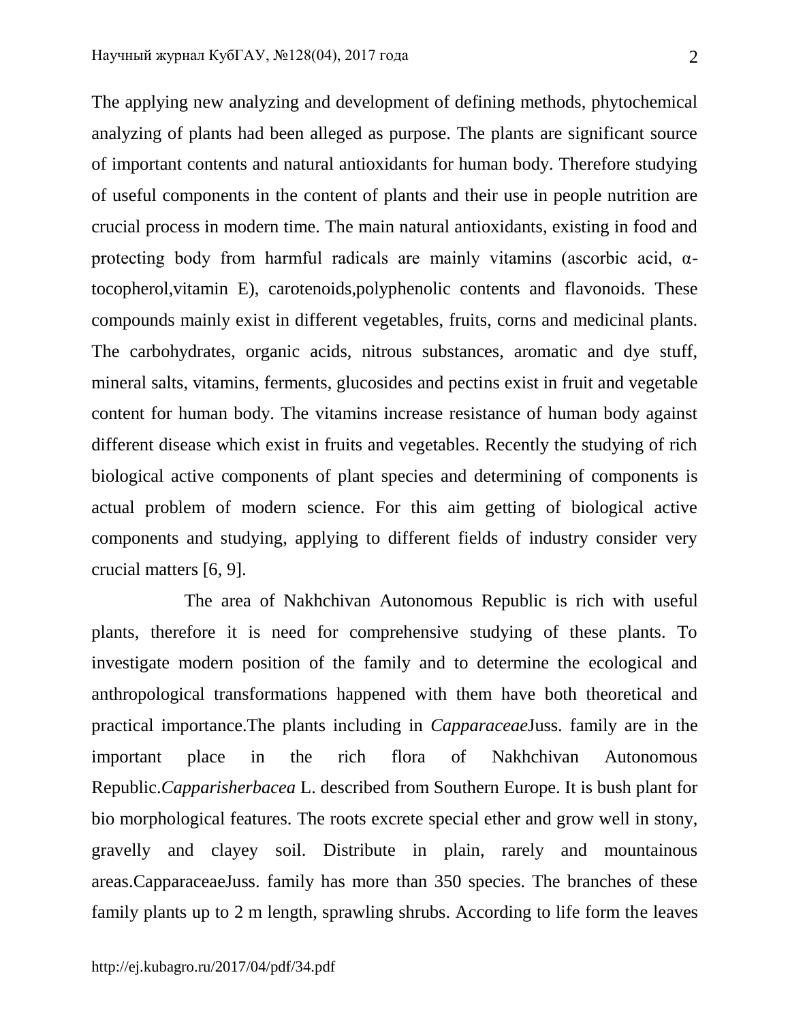The applying new analyzing and development of defining methods, phytochemical analyzing of plants had been alleged as purpose. The plants are significant source of important contents and natural antioxidants for human body. Therefore studying of useful components in the content of plants and their use in people nutrition are crucial process in modern time. The main natural antioxidants, existing in food and protecting body from harmful radicals are mainly vitamins (ascorbic acid,  $\alpha$ tocopherol,vitamin E), carotenoids,polyphenolic contents and flavonoids. These compounds mainly exist in different vegetables, fruits, corns and medicinal plants. The carbohydrates, organic acids, nitrous substances, aromatic and dye stuff, mineral salts, vitamins, ferments, glucosides and pectins exist in fruit and vegetable content for human body. The vitamins increase resistance of human body against different disease which exist in fruits and vegetables. Recently the studying of rich biological active components of plant species and determining of components is actual problem of modern science. For this aim getting of biological active components and studying, applying to different fields of industry consider very crucial matters [6, 9].

The area of Nakhchivan Autonomous Republic is rich with useful plants, therefore it is need for comprehensive studying of these plants. To investigate modern position of the family and to determine the ecological and anthropological transformations happened with them have both theoretical and practical importance.The plants including in *Capparaceae*Juss. family are in the important place in the rich flora of Nakhchivan Autonomous Republic.*Capparisherbacea* L. described from Southern Europe. It is bush plant for bio morphological features. The roots excrete special ether and grow well in stony, gravelly and clayey soil. Distribute in plain, rarely and mountainous areas.CapparaceaeJuss. family has more than 350 species. The branches of these family plants up to 2 m length, sprawling shrubs. According to life form the leaves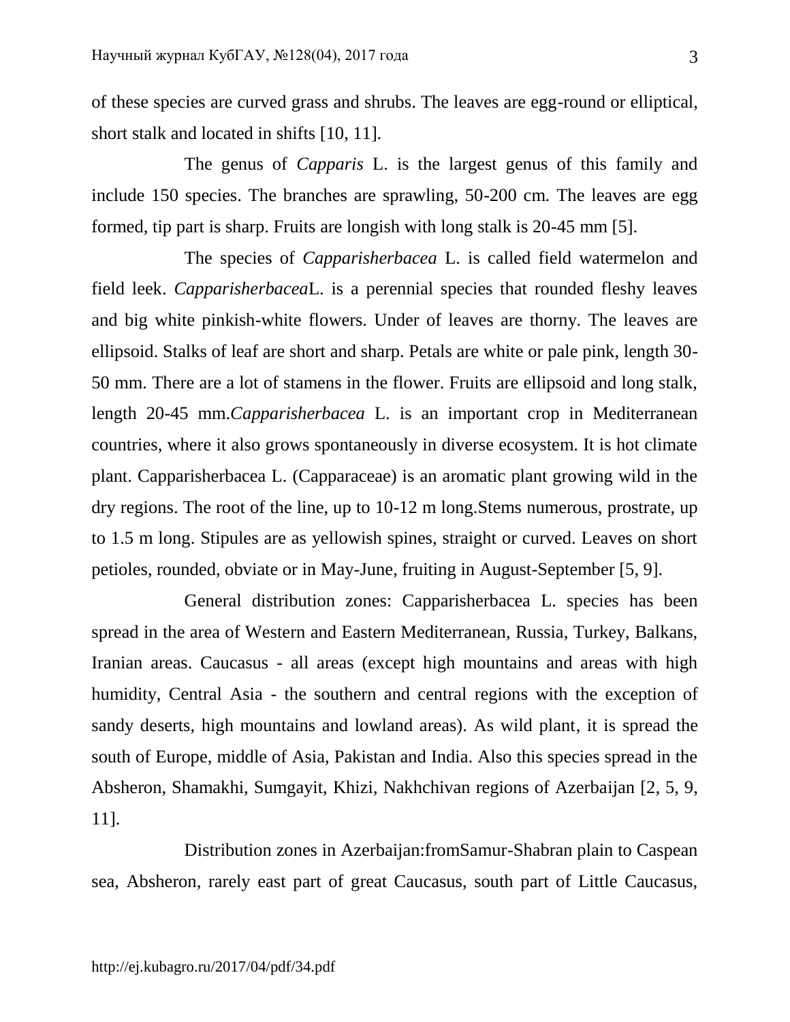of these species are curved grass and shrubs. The leaves are egg-round or elliptical, short stalk and located in shifts [10, 11].

The genus of *Capparis* L. is the largest genus of this family and include 150 species. The branches are sprawling, 50-200 cm. The leaves are egg formed, tip part is sharp. Fruits are longish with long stalk is 20-45 mm [5].

The species of *Capparisherbacea* L. is called field watermelon and field leek. *Capparisherbacea*L. is a perennial species that rounded fleshy leaves and big white pinkish-white flowers. Under of leaves are thorny. The leaves are ellipsoid. Stalks of leaf are short and sharp. Petals are white or pale pink, length 30- 50 mm. There are a lot of stamens in the flower. Fruits are ellipsoid and long stalk, length 20-45 mm.*Capparisherbacea* L. is an important crop in Mediterranean countries, where it also grows spontaneously in diverse ecosystem. It is hot climate plant. Capparisherbacea L. (Capparaceae) is an aromatic plant growing wild in the dry regions. The root of the line, up to 10-12 m long.Stems numerous, prostrate, up to 1.5 m long. Stipules are as yellowish spines, straight or curved. Leaves on short petioles, rounded, obviate or in May-June, fruiting in August-September [5, 9].

General distribution zones: Capparisherbacea L. species has been spread in the area of Western and Eastern Mediterranean, Russia, Turkey, Balkans, Iranian areas. Caucasus - all areas (except high mountains and areas with high humidity, Central Asia - the southern and central regions with the exception of sandy deserts, high mountains and lowland areas). As wild plant, it is spread the south of Europe, middle of Asia, Pakistan and India. Also this species spread in the Absheron, Shamakhi, Sumgayit, Khizi, Nakhchivan regions of Azerbaijan [2, 5, 9, 11].

Distribution zones in Azerbaijan:fromSamur-Shabran plain to Caspean sea, Absheron, rarely east part of great Caucasus, south part of Little Caucasus,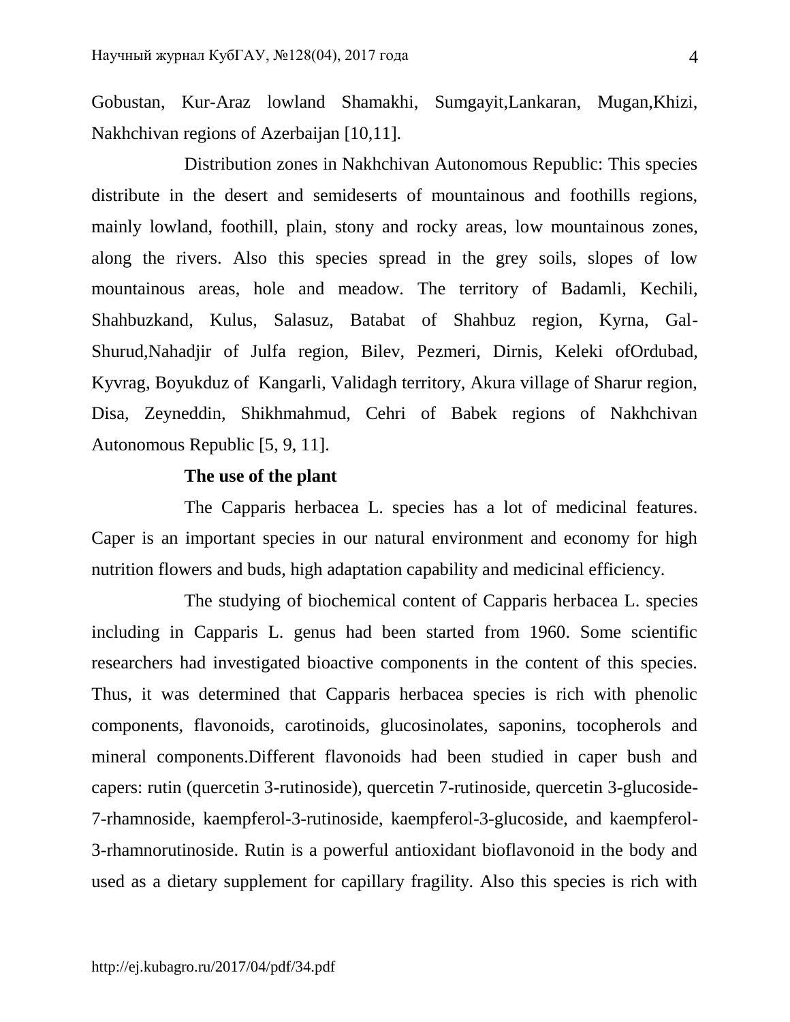Gobustan, Kur-Araz lowland Shamakhi, Sumgayit,Lankaran, Mugan,Khizi, Nakhchivan regions of Azerbaijan [10,11].

Distribution zones in Nakhchivan Autonomous Republic: This species distribute in the desert and semideserts of mountainous and foothills regions, mainly lowland, foothill, plain, stony and rocky areas, low mountainous zones, along the rivers. Also this species spread in the grey soils, slopes of low mountainous areas, hole and meadow. The territory of Badamli, Kechili, Shahbuzkand, Kulus, Salasuz, Batabat of Shahbuz region, Kyrna, Gal-Shurud,Nahadjir of Julfa region, Bilev, Pezmeri, Dirnis, Keleki ofOrdubad, Kyvrag, Boyukduz of Kangarli, Validagh territory, Akura village of Sharur region, Disa, Zeyneddin, Shikhmahmud, Cehri of Babek regions of Nakhchivan Autonomous Republic [5, 9, 11].

# **The use of the plant**

The Capparis herbacea L. species has a lot of medicinal features. Caper is an important species in our natural environment and economy for high nutrition flowers and buds, high adaptation capability and medicinal efficiency.

The studying of biochemical content of Capparis herbacea L. species including in Capparis L. genus had been started from 1960. Some scientific researchers had investigated bioactive components in the content of this species. Thus, it was determined that Capparis herbacea species is rich with phenolic components, flavonoids, carotinoids, glucosinolates, saponins, tocopherols and mineral components.Different flavonoids had been studied in caper bush and capers: rutin (quercetin 3-rutinoside), quercetin 7-rutinoside, quercetin 3-glucoside-7-rhamnoside, kaempferol-3-rutinoside, kaempferol-3-glucoside, and kaempferol-3-rhamnorutinoside. Rutin is a powerful antioxidant bioflavonoid in the body and used as a dietary supplement for capillary fragility. Also this species is rich with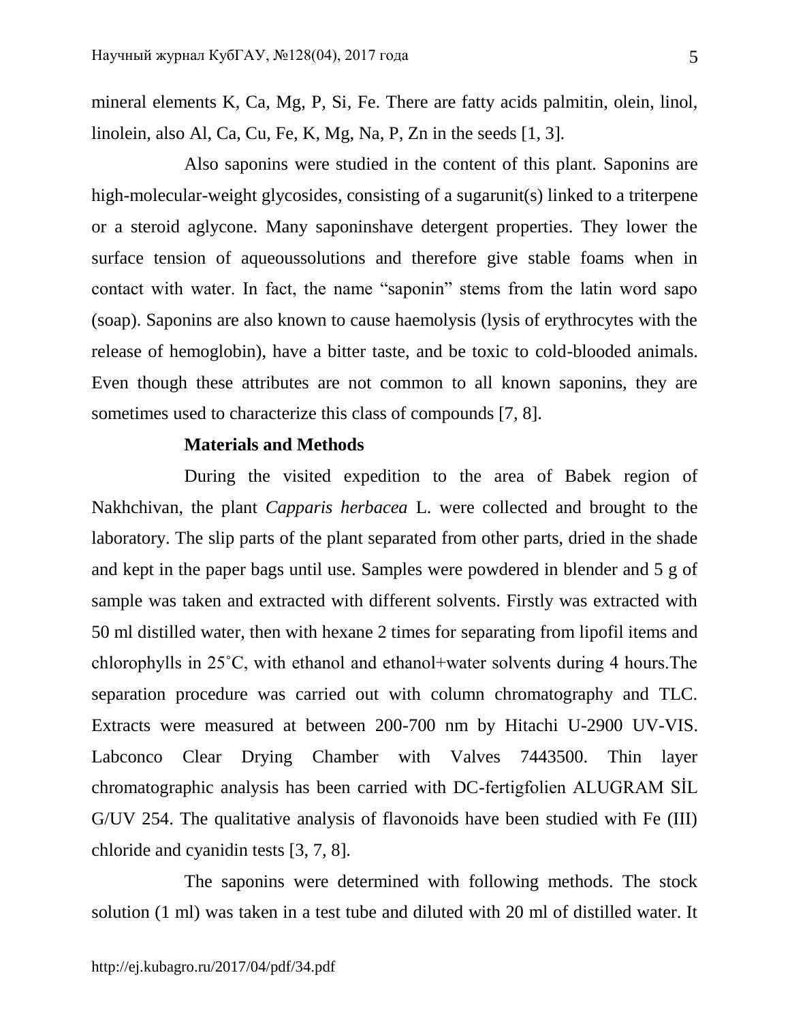mineral elements K, Ca, Mg, P, Si, Fe. There are fatty acids palmitin, olein, linol, linolein, also Al, Ca, Cu, Fe, K, Mg, Na, P, Zn in the seeds [1, 3].

Also saponins were studied in the content of this plant. Saponins are high-molecular-weight glycosides, consisting of a sugarunit(s) linked to a triterpene or a steroid aglycone. Many saponinshave detergent properties. They lower the surface tension of aqueoussolutions and therefore give stable foams when in contact with water. In fact, the name "saponin" stems from the latin word sapo (soap). Saponins are also known to cause haemolysis (lysis of erythrocytes with the release of hemoglobin), have a bitter taste, and be toxic to cold-blooded animals. Even though these attributes are not common to all known saponins, they are sometimes used to characterize this class of compounds [7, 8].

## **Materials and Methods**

During the visited expedition to the area of Babek region of Nakhchivan, the plant *Capparis herbacea* L. were collected and brought to the laboratory. The slip parts of the plant separated from other parts, dried in the shade and kept in the paper bags until use. Samples were powdered in blender and 5 g of sample was taken and extracted with different solvents. Firstly was extracted with 50 ml distilled water, then with hexane 2 times for separating from lipofil items and chlorophylls in 25˚C, with ethanol and ethanol+water solvents during 4 hours.The separation procedure was carried out with column chromatography and TLC. Extracts were measured at between 200-700 nm by Hitachi U-2900 UV-VIS. Labconco Clear Drying Chamber with Valves 7443500. Thin layer chromatographic analysis has been carried with DC-fertigfolien ALUGRAM SİL G/UV 254. The qualitative analysis of flavonoids have been studied with Fe (III) chloride and cyanidin tests [3, 7, 8].

The saponins were determined with following methods. The stock solution (1 ml) was taken in a test tube and diluted with 20 ml of distilled water. It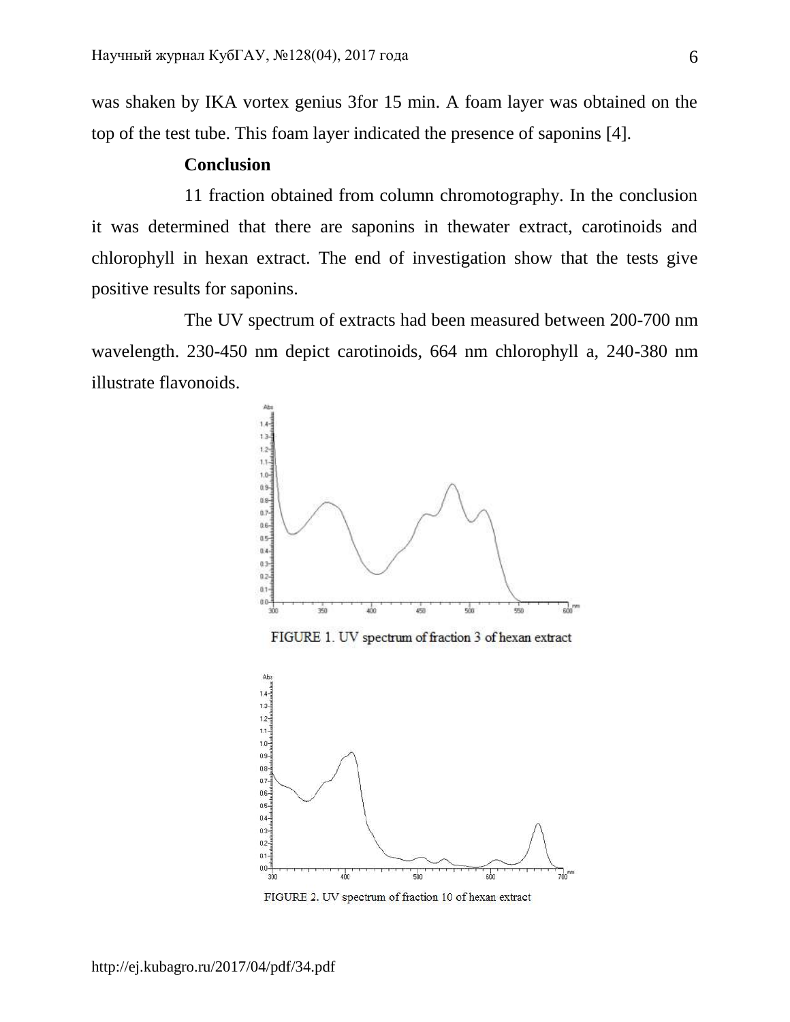was shaken by IKA vortex genius 3for 15 min. A foam layer was obtained on the top of the test tube. This foam layer indicated the presence of saponins [4].

## **Conclusion**

11 fraction obtained from column chromotography. In the conclusion it was determined that there are saponins in thewater extract, carotinoids and chlorophyll in hexan extract. The end of investigation show that the tests give positive results for saponins.

The UV spectrum of extracts had been measured between 200-700 nm wavelength. 230-450 nm depict carotinoids, 664 nm chlorophyll a, 240-380 nm illustrate flavonoids.



FIGURE 2. UV spectrum of fraction 10 of hexan extract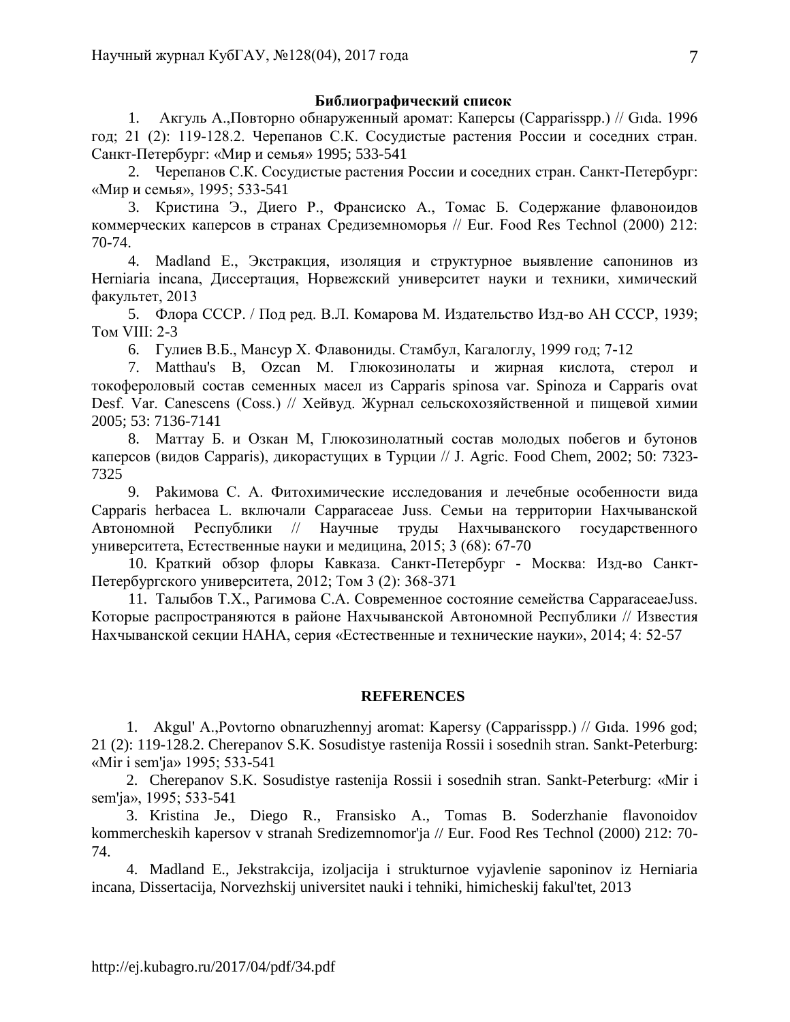### **Библиографический список**

1. Акгуль А.,Повторно обнаруженный аромат: Каперсы (Capparisspp.) // Gıda. 1996 год; 21 (2): 119-128.2. Черепанов С.К. Сосудистые растения России и соседних стран. Санкт-Петербург: «Мир и семья» 1995; 533-541

2. Черепанов С.К. Сосудистые растения России и соседних стран. Санкт-Петербург: «Мир и семья», 1995; 533-541

3. Кристина Э., Диего Р., Франсиско А., Томас Б. Содержание флавоноидов коммерческих каперсов в странах Средиземноморья // Eur. Food Res Technol (2000) 212: 70-74.

4. Madland E., Экстракция, изоляция и структурное выявление сапонинов из Herniaria incana, Диссертация, Норвежский университет науки и техники, химический факультет, 2013

5. Флора СССР. / Под ред. В.Л. Комарова М. Издательство Изд-во АН СССР, 1939; Том VIII: 2-3

6. Гулиев В.Б., Мансур Х. Флавониды. Стамбул, Кагалоглу, 1999 год; 7-12

7. Matthau's B, Ozcan M. Глюкозинолаты и жирная кислота, стерол и токофероловый состав семенных масел из Capparis spinosa var. Spinoza и Capparis ovat Desf. Var. Canescens (Coss.) // Хейвуд. Журнал сельскохозяйственной и пищевой химии 2005; 53: 7136-7141

8. Маттау Б. и Озкан М, Глюкозинолатный состав молодых побегов и бутонов каперсов (видов Capparis), дикорастущих в Турции // J. Agric. Food Chem, 2002; 50: 7323- 7325

9. Раkимова С. А. Фитохимические исследования и лечебные особенности вида Capparis herbacea L. включали Capparaceae Juss. Семьи на территории Нахчыванской Автономной Республики // Научные труды Нахчыванского государственного университета, Естественные науки и медицина, 2015; 3 (68): 67-70

10. Краткий обзор флоры Кавказа. Санкт-Петербург - Москва: Изд-во Санкт-Петербургского университета, 2012; Том 3 (2): 368-371

11. Талыбов Т.Х., Рагимова С.А. Современное состояние семейства CapparaceaeJuss. Которые распространяются в районе Нахчыванской Автономной Республики // Известия Нахчыванской секции НАНА, серия «Естественные и технические науки», 2014; 4: 52-57

### **REFERENCES**

1. Akgul' A.,Povtorno obnaruzhennyj aromat: Kapersy (Capparisspp.) // Gıda. 1996 god; 21 (2): 119-128.2. Cherepanov S.K. Sosudistye rastenija Rossii i sosednih stran. Sankt-Peterburg: «Mir i sem'ja» 1995; 533-541

2. Cherepanov S.K. Sosudistye rastenija Rossii i sosednih stran. Sankt-Peterburg: «Mir i sem'ja», 1995; 533-541

3. Kristina Je., Diego R., Fransisko A., Tomas B. Soderzhanie flavonoidov kommercheskih kapersov v stranah Sredizemnomor'ja // Eur. Food Res Technol (2000) 212: 70- 74.

4. Madland E., Jekstrakcija, izoljacija i strukturnoe vyjavlenie saponinov iz Herniaria incana, Dissertacija, Norvezhskij universitet nauki i tehniki, himicheskij fakul'tet, 2013